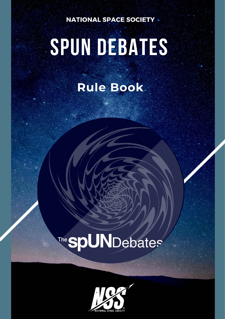**NATIONAL SPACE SOCIETY** 

# SPUN DEBATES

### Rule Book

## The **spUN**Debates

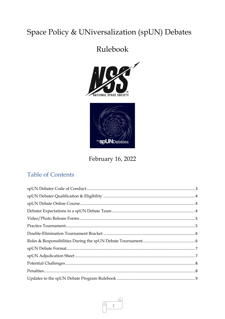#### Space Policy & UNiversalization (spUN) Debates

#### Rulebook





February 16, 2022

#### **Table of Contents**

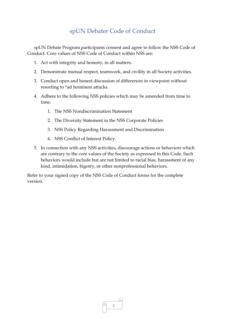#### spUN Debater Code of Conduct

<span id="page-2-0"></span>spUN Debate Program participants consent and agree to follow the NSS Code of Conduct. Core values of NSS Code of Conduct within NSS are:

- 1. Act with integrity and honesty, in all matters.
- 2. Demonstrate mutual respect, teamwork, and civility in all Society activities.
- 3. Conduct open and honest discussion of differences in viewpoint without resorting to \*ad hominem attacks.
- 4. Adhere to the following NSS policies which may be amended from time to time:
	- 1. The NSS Nondiscrimination Statement
	- 2. The Diversity Statement in the NSS Corporate Policies
	- 3. NSS Policy Regarding Harassment and Discrimination
	- 4. NSS Conflict of Interest Policy.
- 5. In connection with any NSS activities, discourage actions or behaviors which are contrary to the core values of the Society as expressed in this Code. Such behaviors would include but are not limited to racial bias, harassment of any kind, intimidation, bigotry, or other nonprofessional behaviors.

Refer to your signed copy of the NSS Code of Conduct forms for the complete version.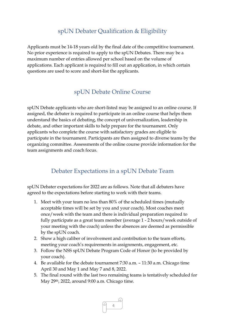#### spUN Debater Qualification & Eligibility

<span id="page-3-0"></span>Applicants must be 14-18 years old by the final date of the competitive tournament. No prior experience is required to apply to the spUN Debates. There may be a maximum number of entries allowed per school based on the volume of applications. Each applicant is required to fill out an application, in which certain questions are used to score and short-list the applicants.

#### spUN Debate Online Course

<span id="page-3-1"></span>spUN Debate applicants who are short-listed may be assigned to an online course. If assigned, the debater is required to participate in an online course that helps them understand the basics of debating, the concept of universalization, leadership in debate, and other important skills to help prepare for the tournament. Only applicants who complete the course with satisfactory grades are eligible to participate in the tournament. Participants are then assigned to diverse teams by the organizing committee. Assessments of the online course provide information for the team assignments and coach focus.

#### Debater Expectations in a spUN Debate Team

<span id="page-3-2"></span>spUN Debater expectations for 2022 are as follows. Note that all debaters have agreed to the expectations before starting to work with their teams.

- 1. Meet with your team no less than 80% of the scheduled times (mutually acceptable times will be set by you and your coach). Most coaches meet once/week with the team and there is individual preparation required to fully participate as a great team member (average 1 - 2 hours/week outside of your meeting with the coach) unless the absences are deemed as permissible by the spUN coach.
- 2. Show a high caliber of involvement and contribution to the team efforts, meeting your coach's requirements in assignments, engagement, etc.
- 3. Follow the NSS spUN Debate Program Code of Honor (to be provided by your coach).
- 4. Be available for the debate tournament 7:30 a.m. 11:30 a.m. Chicago time April 30 and May 1 and May 7 and 8, 2022.
- 5. The final round with the last two remaining teams is tentatively scheduled for May 29th, 2022, around 9:00 a.m. Chicago time.

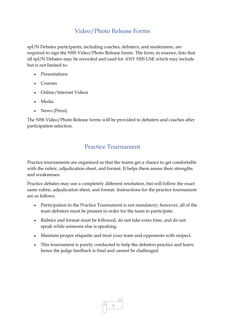#### Video/Photo Release Forms

<span id="page-4-0"></span>spUN Debates participants, including coaches, debaters, and moderators, are required to sign the NSS Video/Photo Release forms. The form, in essence, lists that all spUN Debates may be recorded and used for ANY NSS USE which may include but is not limited to:

- **Presentations**
- Courses
- Online/Internet Videos
- Media
- News (Press)

The NSS Video/Photo Release forms will be provided to debaters and coaches after participation selection.

#### Practice Tournament

<span id="page-4-1"></span>Practice tournaments are organized so that the teams get a chance to get comfortable with the rubric, adjudication sheet, and format. It helps them assess their strengths and weaknesses.

Practice debates may use a completely different resolution, but will follow the exact same rubric, adjudication sheet, and format. Instructions for the practice tournament are as follows.

- Participation in the Practice Tournament is not mandatory; however, all of the team debaters must be present in order for the team to participate.
- Rubrics and format must be followed, do not take extra time, and do not speak while someone else is speaking.
- Maintain proper etiquette and treat your team and opponents with respect.
- This tournament is purely conducted to help the debaters practice and learn; hence the judge feedback is final and cannot be challenged.

5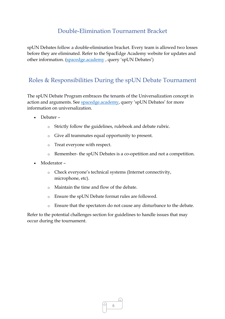#### Double-Elimination Tournament Bracket

<span id="page-5-0"></span>spUN Debates follow a double-elimination bracket. Every team is allowed two losses before they are eliminated. Refer to the SpacEdge Academy website for updates and other information. [\(spacedge.academy](http://spacedge.academy/) , query 'spUN Debates')

#### <span id="page-5-1"></span>Roles & Responsibilities During the spUN Debate Tournament

The spUN Debate Program embraces the tenants of the Universalization concept in action and arguments. See [spacedge.academy,](http://spacedge.academy/) query 'spUN Debates' for more information on universalization.

- Debater
	- o Strictly follow the guidelines, rulebook and debate rubric.
	- o Give all teammates equal opportunity to present.
	- o Treat everyone with respect.
	- o Remember- the spUN Debates is a co-opetition and not a competition.
- Moderator
	- o Check everyone's technical systems (Internet connectivity, microphone, etc).
	- o Maintain the time and flow of the debate.
	- o Ensure the spUN Debate format rules are followed.
	- o Ensure that the spectators do not cause any disturbance to the debate.

Refer to the potential challenges section for guidelines to handle issues that may occur during the tournament.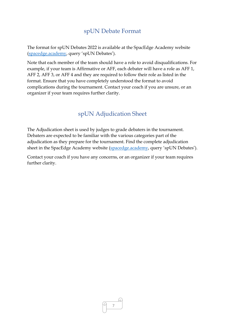#### spUN Debate Format

<span id="page-6-0"></span>The format for spUN Debates 2022 is available at the SpacEdge Academy website [\(spacedge.academy,](http://spacedge.academy/) query 'spUN Debates').

Note that each member of the team should have a role to avoid disqualifications. For example, if your team is Affirmative or AFF, each debater will have a role as AFF 1, AFF 2, AFF 3, or AFF 4 and they are required to follow their role as listed in the format. Ensure that you have completely understood the format to avoid complications during the tournament. Contact your coach if you are unsure, or an organizer if your team requires further clarity.

#### spUN Adjudication Sheet

<span id="page-6-1"></span>The Adjudication sheet is used by judges to grade debaters in the tournament. Debaters are expected to be familiar with the various categories part of the adjudication as they prepare for the tournament. Find the complete adjudication sheet in the SpacEdge Academy website [\(spacedge.academy,](http://spacedge.academy/) query 'spUN Debates').

Contact your coach if you have any concerns, or an organizer if your team requires further clarity.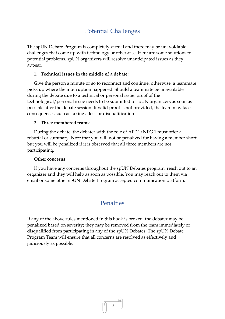#### Potential Challenges

<span id="page-7-0"></span>The spUN Debate Program is completely virtual and there may be unavoidable challenges that come up with technology or otherwise. Here are some solutions to potential problems. spUN organizers will resolve unanticipated issues as they appear.

#### 1. **Technical issues in the middle of a debate:**

Give the person a minute or so to reconnect and continue, otherwise, a teammate picks up where the interruption happened. Should a teammate be unavailable during the debate due to a technical or personal issue, proof of the technological/personal issue needs to be submitted to spUN organizers as soon as possible after the debate session. If valid proof is not provided, the team may face consequences such as taking a loss or disqualification.

#### 2. **Three membered teams:**

During the debate, the debater with the role of AFF 1/NEG 1 must offer a rebuttal or summary. Note that you will not be penalized for having a member short, but you will be penalized if it is observed that all three members are not participating.

#### **Other concerns**

If you have any concerns throughout the spUN Debates program, reach out to an organizer and they will help as soon as possible. You may reach out to them via email or some other spUN Debate Program accepted communication platform.

#### Penalties

<span id="page-7-1"></span>If any of the above rules mentioned in this book is broken, the debater may be penalized based on severity; they may be removed from the team immediately or disqualified from participating in any of the spUN Debates. The spUN Debate Program Team will ensure that all concerns are resolved as effectively and judiciously as possible.